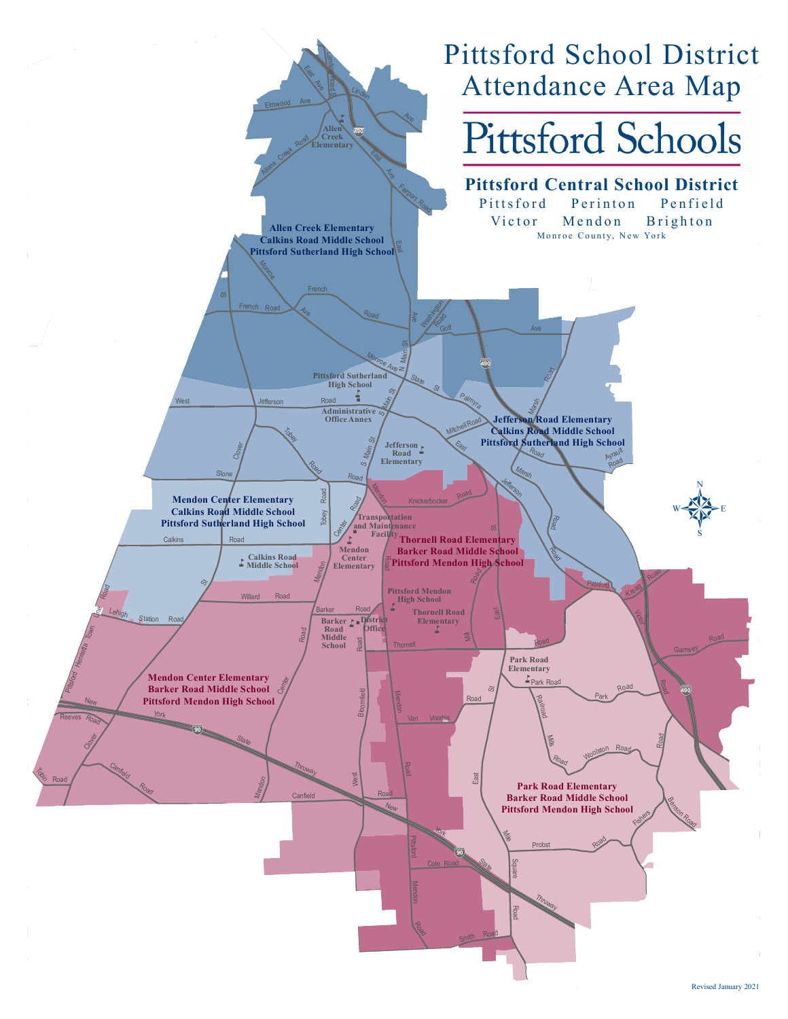